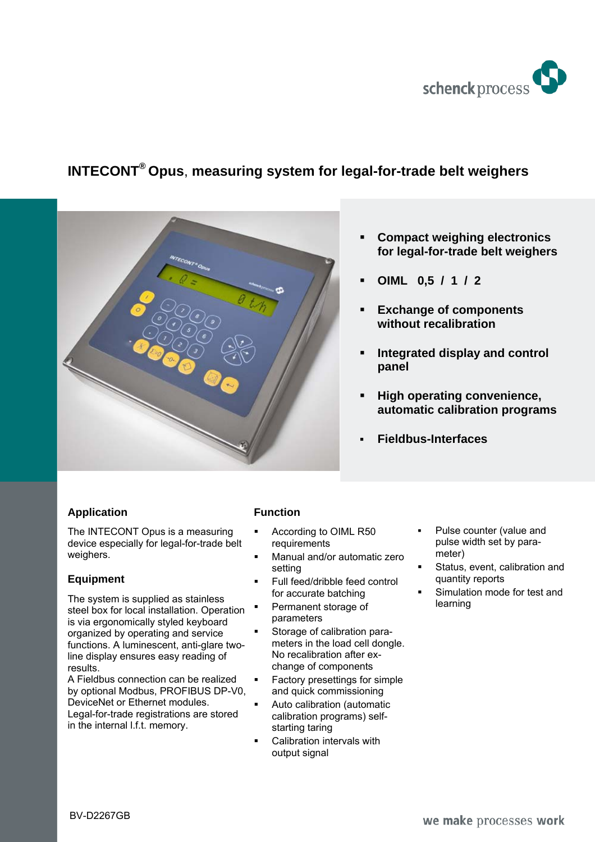

# **INTECONT® Opus**, **measuring system for legal-for-trade belt weighers**



- **Compact weighing electronics for legal-for-trade belt weighers**
- **OIML 0,5 / 1 / 2**
- **Exchange of components without recalibration**
- **Integrated display and control panel**
- **High operating convenience, automatic calibration programs**
- **Fieldbus-Interfaces**

## **Application**

The INTECONT Opus is a measuring device especially for legal-for-trade belt weighers.

#### **Equipment**

The system is supplied as stainless steel box for local installation. Operation is via ergonomically styled keyboard organized by operating and service functions. A luminescent, anti-glare twoline display ensures easy reading of results.

A Fieldbus connection can be realized by optional Modbus, PROFIBUS DP-V0, DeviceNet or Ethernet modules. Legal-for-trade registrations are stored in the internal l.f.t. memory.

## **Function**

- According to OIML R50 requirements
- Manual and/or automatic zero setting
- Full feed/dribble feed control for accurate batching
- Permanent storage of parameters
- Storage of calibration parameters in the load cell dongle. No recalibration after exchange of components
- Factory presettings for simple and quick commissioning
- Auto calibration (automatic calibration programs) selfstarting taring
- Calibration intervals with output signal
- Pulse counter (value and pulse width set by parameter)
- Status, event, calibration and quantity reports
- Simulation mode for test and learning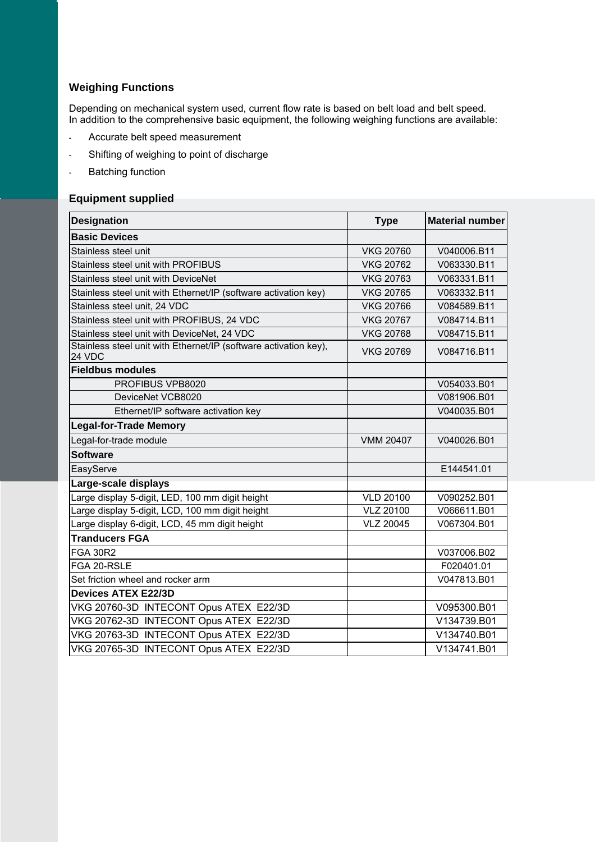# **Weighing Functions**

Depending on mechanical system used, current flow rate is based on belt load and belt speed. In addition to the comprehensive basic equipment, the following weighing functions are available:

- Accurate belt speed measurement
- Shifting of weighing to point of discharge
- Batching function

#### **Equipment supplied**

| Designation                                                                | <b>Type</b>      | <b>Material number</b> |
|----------------------------------------------------------------------------|------------------|------------------------|
| <b>Basic Devices</b>                                                       |                  |                        |
| Stainless steel unit                                                       | <b>VKG 20760</b> | V040006.B11            |
| Stainless steel unit with PROFIBUS                                         | <b>VKG 20762</b> | V063330.B11            |
| Stainless steel unit with DeviceNet                                        | <b>VKG 20763</b> | V063331.B11            |
| Stainless steel unit with Ethernet/IP (software activation key)            | <b>VKG 20765</b> | V063332.B11            |
| Stainless steel unit, 24 VDC                                               | <b>VKG 20766</b> | V084589.B11            |
| Stainless steel unit with PROFIBUS, 24 VDC                                 | <b>VKG 20767</b> | V084714.B11            |
| Stainless steel unit with DeviceNet, 24 VDC                                | <b>VKG 20768</b> | V084715.B11            |
| Stainless steel unit with Ethernet/IP (software activation key),<br>24 VDC | <b>VKG 20769</b> | V084716.B11            |
| <b>Fieldbus modules</b>                                                    |                  |                        |
| PROFIBUS VPB8020                                                           |                  | V054033.B01            |
| DeviceNet VCB8020                                                          |                  | V081906.B01            |
| Ethernet/IP software activation key                                        |                  | V040035.B01            |
| <b>Legal-for-Trade Memory</b>                                              |                  |                        |
| Legal-for-trade module                                                     | <b>VMM 20407</b> | V040026.B01            |
| <b>Software</b>                                                            |                  |                        |
| EasyServe                                                                  |                  | E144541.01             |
| Large-scale displays                                                       |                  |                        |
| Large display 5-digit, LED, 100 mm digit height                            | <b>VLD 20100</b> | V090252.B01            |
| Large display 5-digit, LCD, 100 mm digit height                            | <b>VLZ 20100</b> | V066611.B01            |
| Large display 6-digit, LCD, 45 mm digit height                             | <b>VLZ 20045</b> | V067304.B01            |
| <b>Tranducers FGA</b>                                                      |                  |                        |
| <b>FGA 30R2</b>                                                            |                  | V037006.B02            |
| FGA 20-RSLE                                                                |                  | F020401.01             |
| Set friction wheel and rocker arm                                          |                  | V047813.B01            |
| <b>Devices ATEX E22/3D</b>                                                 |                  |                        |
| VKG 20760-3D INTECONT Opus ATEX E22/3D                                     |                  | V095300.B01            |
| VKG 20762-3D INTECONT Opus ATEX E22/3D                                     |                  | V134739.B01            |
| VKG 20763-3D INTECONT Opus ATEX E22/3D                                     |                  | V134740.B01            |
| VKG 20765-3D INTECONT Opus ATEX E22/3D                                     |                  | V134741.B01            |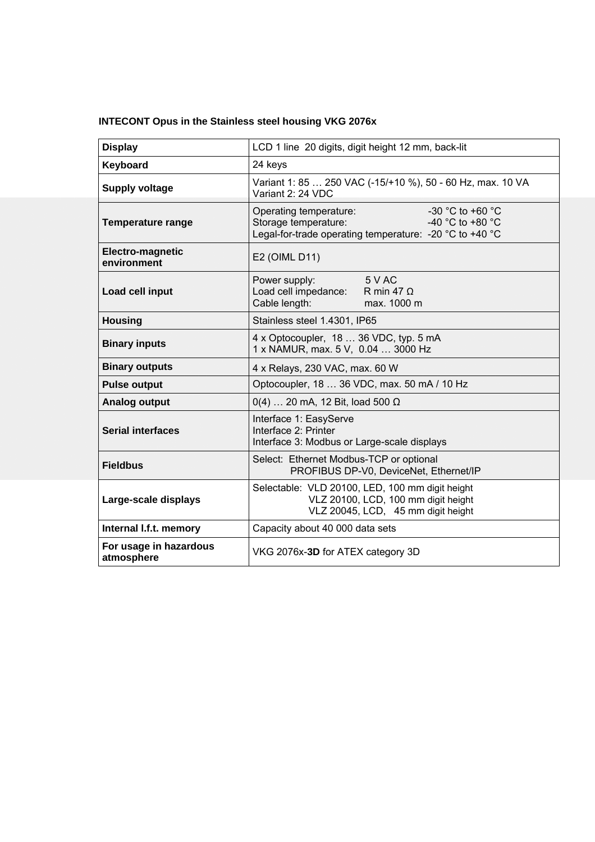|  | <b>INTECONT Opus in the Stainless steel housing VKG 2076x</b> |  |
|--|---------------------------------------------------------------|--|
|  |                                                               |  |

| <b>Display</b>                       | LCD 1 line 20 digits, digit height 12 mm, back-lit                                                                                                                                                  |  |
|--------------------------------------|-----------------------------------------------------------------------------------------------------------------------------------------------------------------------------------------------------|--|
| Keyboard                             | 24 keys                                                                                                                                                                                             |  |
| <b>Supply voltage</b>                | Variant 1: 85  250 VAC (-15/+10 %), 50 - 60 Hz, max. 10 VA<br>Variant 2: 24 VDC                                                                                                                     |  |
| <b>Temperature range</b>             | -30 °C to +60 $^{\circ}$ C<br>Operating temperature:<br>-40 $^{\circ}$ C to +80 $^{\circ}$ C<br>Storage temperature:<br>Legal-for-trade operating temperature: -20 $^{\circ}$ C to +40 $^{\circ}$ C |  |
| Electro-magnetic<br>environment      | E2 (OIML D11)                                                                                                                                                                                       |  |
| Load cell input                      | 5 V AC<br>Power supply:<br>Load cell impedance:<br>R min 47 $\Omega$<br>Cable length:<br>max. 1000 m                                                                                                |  |
| <b>Housing</b>                       | Stainless steel 1.4301, IP65                                                                                                                                                                        |  |
| <b>Binary inputs</b>                 | 4 x Optocoupler, 18  36 VDC, typ. 5 mA<br>1 x NAMUR, max. 5 V, 0.04  3000 Hz                                                                                                                        |  |
| <b>Binary outputs</b>                | 4 x Relays, 230 VAC, max. 60 W                                                                                                                                                                      |  |
| <b>Pulse output</b>                  | Optocoupler, 18  36 VDC, max. 50 mA / 10 Hz                                                                                                                                                         |  |
| Analog output                        | $0(4)$ 20 mA, 12 Bit, load 500 $\Omega$                                                                                                                                                             |  |
| <b>Serial interfaces</b>             | Interface 1: EasyServe<br>Interface 2: Printer<br>Interface 3: Modbus or Large-scale displays                                                                                                       |  |
| <b>Fieldbus</b>                      | Select: Ethernet Modbus-TCP or optional<br>PROFIBUS DP-V0, DeviceNet, Ethernet/IP                                                                                                                   |  |
| Large-scale displays                 | Selectable: VLD 20100, LED, 100 mm digit height<br>VLZ 20100, LCD, 100 mm digit height<br>VLZ 20045, LCD, 45 mm digit height                                                                        |  |
| Internal I.f.t. memory               | Capacity about 40 000 data sets                                                                                                                                                                     |  |
| For usage in hazardous<br>atmosphere | VKG 2076x-3D for ATEX category 3D                                                                                                                                                                   |  |